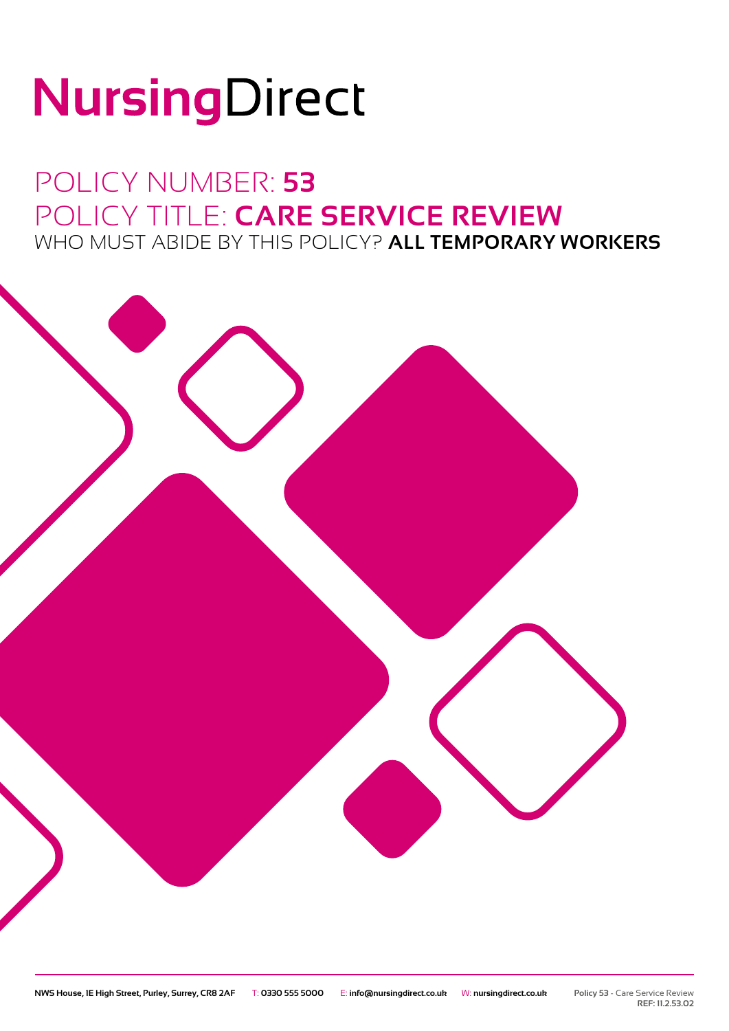# NursingDirect

### POLICY NUMBER: **53** POLICY TITLE: **CARE SERVICE REVIEW** WHO MUST ABIDE BY THIS POLICY? **ALL TEMPORARY WORKERS**